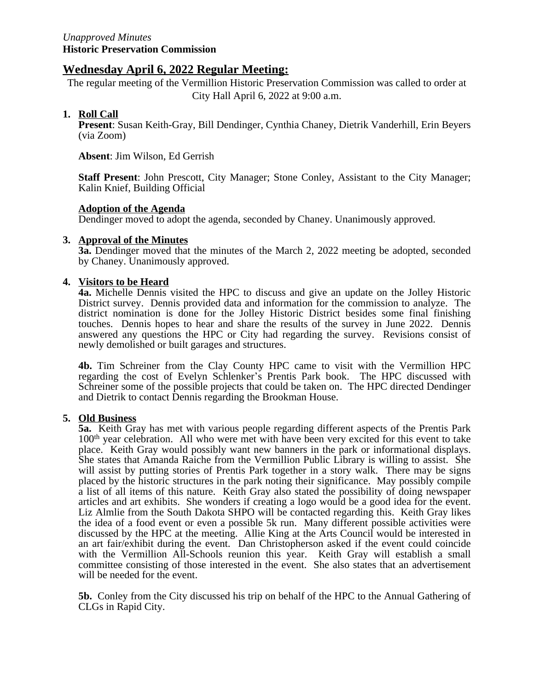### **Wednesday April 6, 2022 Regular Meeting:**

The regular meeting of the Vermillion Historic Preservation Commission was called to order at City Hall April 6, 2022 at 9:00 a.m.

#### **1. Roll Call**

**Present**: Susan Keith-Gray, Bill Dendinger, Cynthia Chaney, Dietrik Vanderhill, Erin Beyers (via Zoom)

**Absent**: Jim Wilson, Ed Gerrish

**Staff Present**: John Prescott, City Manager; Stone Conley, Assistant to the City Manager; Kalin Knief, Building Official

#### **Adoption of the Agenda**

Dendinger moved to adopt the agenda, seconded by Chaney. Unanimously approved.

#### **3. Approval of the Minutes**

**3a.** Dendinger moved that the minutes of the March 2, 2022 meeting be adopted, seconded by Chaney. Unanimously approved.

#### **4. Visitors to be Heard**

**4a.** Michelle Dennis visited the HPC to discuss and give an update on the Jolley Historic District survey. Dennis provided data and information for the commission to analyze. The district nomination is done for the Jolley Historic District besides some final finishing touches. Dennis hopes to hear and share the results of the survey in June 2022. Dennis answered any questions the HPC or City had regarding the survey. Revisions consist of newly demolished or built garages and structures.

**4b.** Tim Schreiner from the Clay County HPC came to visit with the Vermillion HPC regarding the cost of Evelyn Schlenker's Prentis Park book. The HPC discussed with Schreiner some of the possible projects that could be taken on. The HPC directed Dendinger and Dietrik to contact Dennis regarding the Brookman House.

#### **5. Old Business**

**5a.** Keith Gray has met with various people regarding different aspects of the Prentis Park 100th year celebration. All who were met with have been very excited for this event to take place. Keith Gray would possibly want new banners in the park or informational displays. She states that Amanda Raiche from the Vermillion Public Library is willing to assist. She will assist by putting stories of Prentis Park together in a story walk. There may be signs placed by the historic structures in the park noting their significance. May possibly compile a list of all items of this nature. Keith Gray also stated the possibility of doing newspaper articles and art exhibits. She wonders if creating a logo would be a good idea for the event. Liz Almlie from the South Dakota SHPO will be contacted regarding this. Keith Gray likes the idea of a food event or even a possible 5k run. Many different possible activities were discussed by the HPC at the meeting. Allie King at the Arts Council would be interested in an art fair/exhibit during the event. Dan Christopherson asked if the event could coincide with the Vermillion All-Schools reunion this year. Keith Gray will establish a small committee consisting of those interested in the event. She also states that an advertisement will be needed for the event.

**5b.** Conley from the City discussed his trip on behalf of the HPC to the Annual Gathering of CLGs in Rapid City.